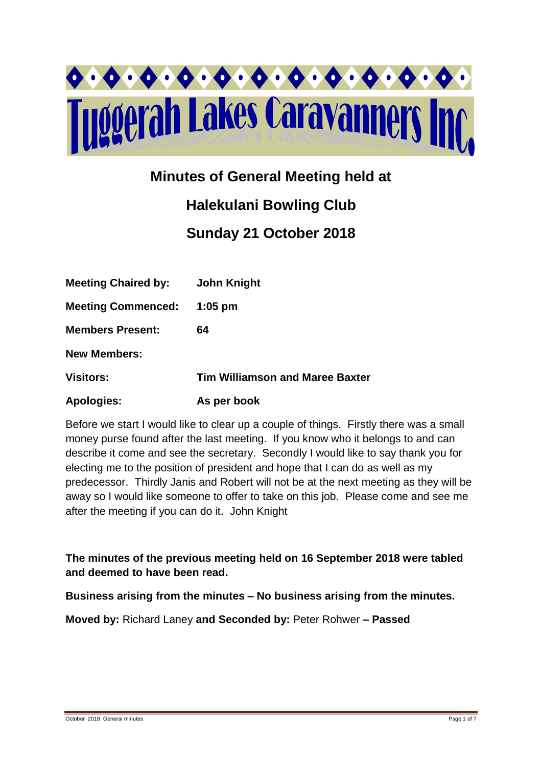

# **Minutes of General Meeting held at**

# **Halekulani Bowling Club**

**Sunday 21 October 2018**

| <b>Meeting Chaired by:</b> | <b>John Knight</b>                     |
|----------------------------|----------------------------------------|
| <b>Meeting Commenced:</b>  | $1:05$ pm                              |
| <b>Members Present:</b>    | 64                                     |
| <b>New Members:</b>        |                                        |
| <b>Visitors:</b>           | <b>Tim Williamson and Maree Baxter</b> |
| <b>Apologies:</b>          | As per book                            |

Before we start I would like to clear up a couple of things. Firstly there was a small money purse found after the last meeting. If you know who it belongs to and can describe it come and see the secretary. Secondly I would like to say thank you for electing me to the position of president and hope that I can do as well as my predecessor. Thirdly Janis and Robert will not be at the next meeting as they will be away so I would like someone to offer to take on this job. Please come and see me after the meeting if you can do it. John Knight

**The minutes of the previous meeting held on 16 September 2018 were tabled and deemed to have been read.**

**Business arising from the minutes – No business arising from the minutes.**

**Moved by:** Richard Laney **and Seconded by:** Peter Rohwer **– Passed**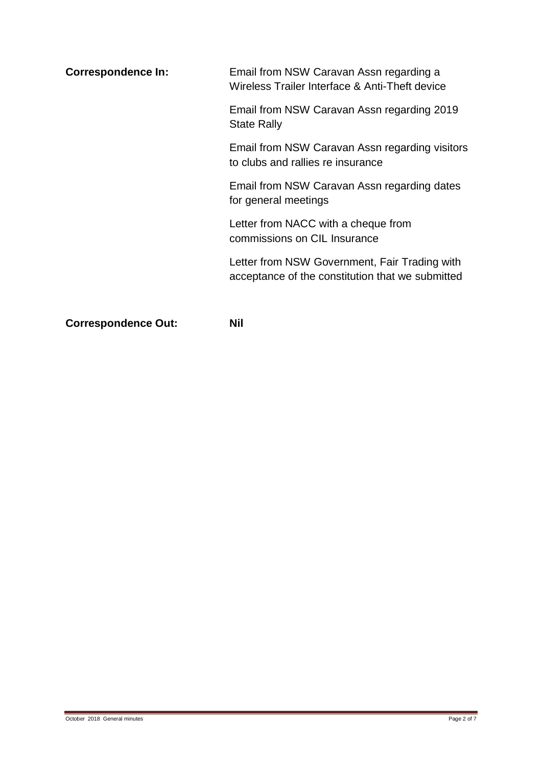| <b>Correspondence In:</b> | Email from NSW Caravan Assn regarding a<br>Wireless Trailer Interface & Anti-Theft device         |  |
|---------------------------|---------------------------------------------------------------------------------------------------|--|
|                           | Email from NSW Caravan Assn regarding 2019<br><b>State Rally</b>                                  |  |
|                           | Email from NSW Caravan Assn regarding visitors<br>to clubs and rallies re insurance               |  |
|                           | Email from NSW Caravan Assn regarding dates<br>for general meetings                               |  |
|                           | Letter from NACC with a cheque from<br>commissions on CIL Insurance                               |  |
|                           | Letter from NSW Government, Fair Trading with<br>acceptance of the constitution that we submitted |  |
|                           |                                                                                                   |  |

**Correspondence Out: Nil**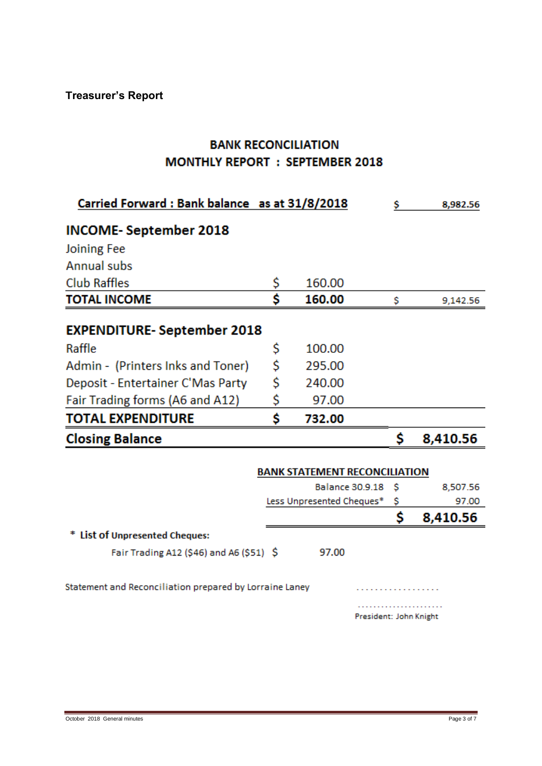# **BANK RECONCILIATION MONTHLY REPORT : SEPTEMBER 2018**

| Carried Forward: Bank balance as at 31/8/2018           |    |                                      |    | 8,982.56 |
|---------------------------------------------------------|----|--------------------------------------|----|----------|
| <b>INCOME-September 2018</b>                            |    |                                      |    |          |
| Joining Fee                                             |    |                                      |    |          |
| <b>Annual subs</b>                                      |    |                                      |    |          |
| <b>Club Raffles</b>                                     | \$ | 160.00                               |    |          |
| <b>TOTAL INCOME</b>                                     | Ś  | 160.00                               | \$ | 9,142.56 |
| <b>EXPENDITURE-September 2018</b>                       |    |                                      |    |          |
| Raffle                                                  | \$ | 100.00                               |    |          |
| Admin - (Printers Inks and Toner)                       | \$ | 295.00                               |    |          |
| Deposit - Entertainer C'Mas Party                       | \$ | 240.00                               |    |          |
| Fair Trading forms (A6 and A12)                         | \$ | 97.00                                |    |          |
| <b>TOTAL EXPENDITURE</b>                                | Ś  | 732.00                               |    |          |
| <b>Closing Balance</b>                                  |    |                                      | \$ | 8,410.56 |
|                                                         |    | <b>BANK STATEMENT RECONCILIATION</b> |    |          |
|                                                         |    |                                      |    |          |
|                                                         |    | <b>Balance 30.9.18</b>               | Ŝ  | 8,507.56 |
|                                                         |    | Less Unpresented Cheques*            | \$ | 97.00    |
|                                                         |    |                                      | Ś  | 8,410.56 |
| * List of Unpresented Cheques:                          |    |                                      |    |          |
| Fair Trading A12 (\$46) and A6 (\$51) \$                |    | 97.00                                |    |          |
| Statement and Reconciliation prepared by Lorraine Laney |    |                                      |    |          |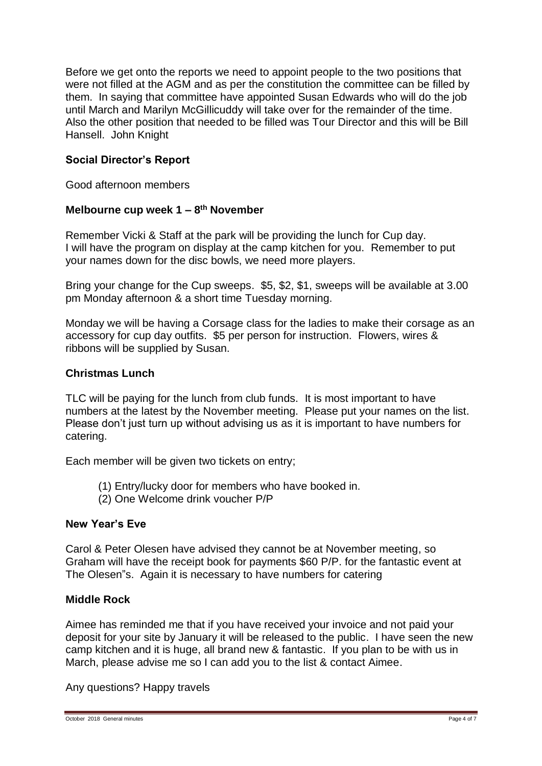Before we get onto the reports we need to appoint people to the two positions that were not filled at the AGM and as per the constitution the committee can be filled by them. In saying that committee have appointed Susan Edwards who will do the job until March and Marilyn McGillicuddy will take over for the remainder of the time. Also the other position that needed to be filled was Tour Director and this will be Bill Hansell. John Knight

### **Social Director's Report**

Good afternoon members

### **Melbourne cup week 1 – 8 th November**

Remember Vicki & Staff at the park will be providing the lunch for Cup day. I will have the program on display at the camp kitchen for you. Remember to put your names down for the disc bowls, we need more players.

Bring your change for the Cup sweeps. \$5, \$2, \$1, sweeps will be available at 3.00 pm Monday afternoon & a short time Tuesday morning.

Monday we will be having a Corsage class for the ladies to make their corsage as an accessory for cup day outfits. \$5 per person for instruction. Flowers, wires & ribbons will be supplied by Susan.

#### **Christmas Lunch**

TLC will be paying for the lunch from club funds. It is most important to have numbers at the latest by the November meeting. Please put your names on the list. Please don't just turn up without advising us as it is important to have numbers for catering.

Each member will be given two tickets on entry;

- (1) Entry/lucky door for members who have booked in.
- (2) One Welcome drink voucher P/P

#### **New Year's Eve**

Carol & Peter Olesen have advised they cannot be at November meeting, so Graham will have the receipt book for payments \$60 P/P. for the fantastic event at The Olesen"s. Again it is necessary to have numbers for catering

### **Middle Rock**

Aimee has reminded me that if you have received your invoice and not paid your deposit for your site by January it will be released to the public. I have seen the new camp kitchen and it is huge, all brand new & fantastic. If you plan to be with us in March, please advise me so I can add you to the list & contact Aimee.

Any questions? Happy travels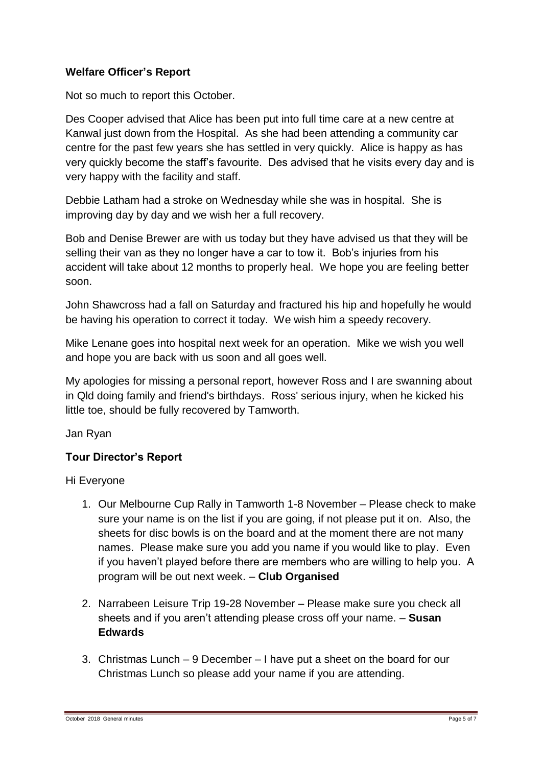# **Welfare Officer's Report**

Not so much to report this October.

Des Cooper advised that Alice has been put into full time care at a new centre at Kanwal just down from the Hospital. As she had been attending a community car centre for the past few years she has settled in very quickly. Alice is happy as has very quickly become the staff's favourite. Des advised that he visits every day and is very happy with the facility and staff.

Debbie Latham had a stroke on Wednesday while she was in hospital. She is improving day by day and we wish her a full recovery.

Bob and Denise Brewer are with us today but they have advised us that they will be selling their van as they no longer have a car to tow it. Bob's injuries from his accident will take about 12 months to properly heal. We hope you are feeling better soon.

John Shawcross had a fall on Saturday and fractured his hip and hopefully he would be having his operation to correct it today. We wish him a speedy recovery.

Mike Lenane goes into hospital next week for an operation. Mike we wish you well and hope you are back with us soon and all goes well.

My apologies for missing a personal report, however Ross and I are swanning about in Qld doing family and friend's birthdays. Ross' serious injury, when he kicked his little toe, should be fully recovered by Tamworth.

Jan Ryan

# **Tour Director's Report**

Hi Everyone

- 1. Our Melbourne Cup Rally in Tamworth 1-8 November Please check to make sure your name is on the list if you are going, if not please put it on. Also, the sheets for disc bowls is on the board and at the moment there are not many names. Please make sure you add you name if you would like to play. Even if you haven't played before there are members who are willing to help you. A program will be out next week. – **Club Organised**
- 2. Narrabeen Leisure Trip 19-28 November Please make sure you check all sheets and if you aren't attending please cross off your name. – **Susan Edwards**
- 3. Christmas Lunch 9 December I have put a sheet on the board for our Christmas Lunch so please add your name if you are attending.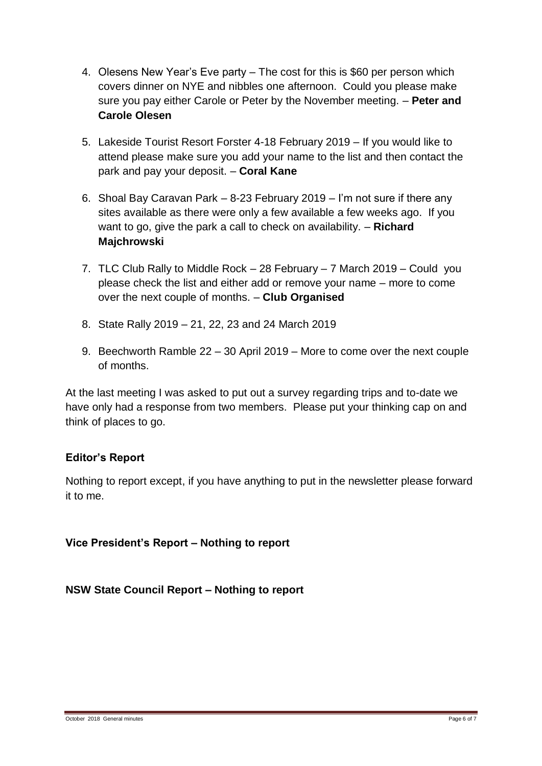- 4. Olesens New Year's Eve party The cost for this is \$60 per person which covers dinner on NYE and nibbles one afternoon. Could you please make sure you pay either Carole or Peter by the November meeting. – **Peter and Carole Olesen**
- 5. Lakeside Tourist Resort Forster 4-18 February 2019 If you would like to attend please make sure you add your name to the list and then contact the park and pay your deposit. – **Coral Kane**
- 6. Shoal Bay Caravan Park 8-23 February 2019 I'm not sure if there any sites available as there were only a few available a few weeks ago. If you want to go, give the park a call to check on availability. – **Richard Majchrowski**
- 7. TLC Club Rally to Middle Rock 28 February 7 March 2019 Could you please check the list and either add or remove your name – more to come over the next couple of months. – **Club Organised**
- 8. State Rally 2019 21, 22, 23 and 24 March 2019
- 9. Beechworth Ramble 22 30 April 2019 More to come over the next couple of months.

At the last meeting I was asked to put out a survey regarding trips and to-date we have only had a response from two members. Please put your thinking cap on and think of places to go.

# **Editor's Report**

Nothing to report except, if you have anything to put in the newsletter please forward it to me.

# **Vice President's Report – Nothing to report**

**NSW State Council Report – Nothing to report**